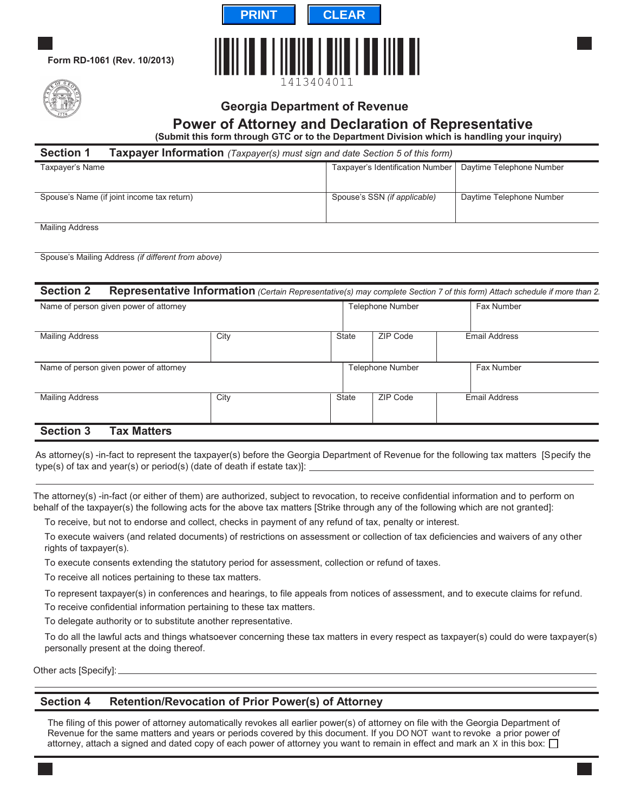

**Form RD-1061 (Rev. 10/2013)**



# **Georgia Department of Revenue**

# **Power of Attorney and Declaration of Representative**

**(Submit this form through GTC or to the Department Division which is handling your inquiry)**

| <b>Section 1</b>                           | Taxpayer Information (Taxpayer(s) must sign and date Section 5 of this form) |                          |  |  |  |  |
|--------------------------------------------|------------------------------------------------------------------------------|--------------------------|--|--|--|--|
| Taxpayer's Name                            | Taxpayer's Identification Number                                             | Daytime Telephone Number |  |  |  |  |
|                                            |                                                                              |                          |  |  |  |  |
| Spouse's Name (if joint income tax return) | Spouse's SSN (if applicable)                                                 | Daytime Telephone Number |  |  |  |  |
|                                            |                                                                              |                          |  |  |  |  |

Mailing Address

Spouse's Mailing Address *(if different from above)*

| <b>Section 2</b>                       |      |       |                         | Representative Information (Certain Representative(s) may complete Section 7 of this form) Attach schedule if more than 2. |
|----------------------------------------|------|-------|-------------------------|----------------------------------------------------------------------------------------------------------------------------|
| Name of person given power of attorney |      |       | <b>Telephone Number</b> | Fax Number                                                                                                                 |
| <b>Mailing Address</b>                 | City | State | ZIP Code                | <b>Email Address</b>                                                                                                       |
| Name of person given power of attorney |      |       | <b>Telephone Number</b> | Fax Number                                                                                                                 |
| <b>Mailing Address</b>                 | City | State | ZIP Code                | <b>Email Address</b>                                                                                                       |
| <b>Tax Matters</b><br><b>Section 3</b> |      |       |                         |                                                                                                                            |

As attorney(s) -in-fact to represent the taxpayer(s) before the Georgia Department of Revenue for the following tax matters [Specify the type(s) of tax and year(s) or period(s) (date of death if estate tax)]:

The attorney(s) -in-fact (or either of them) are authorized, subject to revocation, to receive confidential information and to perform on behalf of the taxpayer(s) the following acts for the above tax matters [Strike through any of the following which are not granted]:

To receive, but not to endorse and collect, checks in payment of any refund of tax, penalty or interest.

To execute waivers (and related documents) of restrictions on assessment or collection of tax deficiencies and waivers of any other rights of taxpayer(s).

To execute consents extending the statutory period for assessment, collection or refund of taxes.

To receive all notices pertaining to these tax matters.

To represent taxpayer(s) in conferences and hearings, to file appeals from notices of assessment, and to execute claims for refund.

To receive confidential information pertaining to these tax matters.

To delegate authority or to substitute another representative.

To do all the lawful acts and things whatsoever concerning these tax matters in every respect as taxpayer(s) could do were taxpayer(s) personally present at the doing thereof.

Other acts [Specify]:

### **Section 4 Retention/Revocation of Prior Power(s) of Attorney**

The filing of this power of attorney automatically revokes all earlier power(s) of attorney on file with the Georgia Department of Revenue for the same matters and years or periods covered by this document. If you **DO NOT want to** revoke a prior power of attorney, attach a signed and dated copy of each power of attorney you want to remain in effect and mark an **X** in this box: